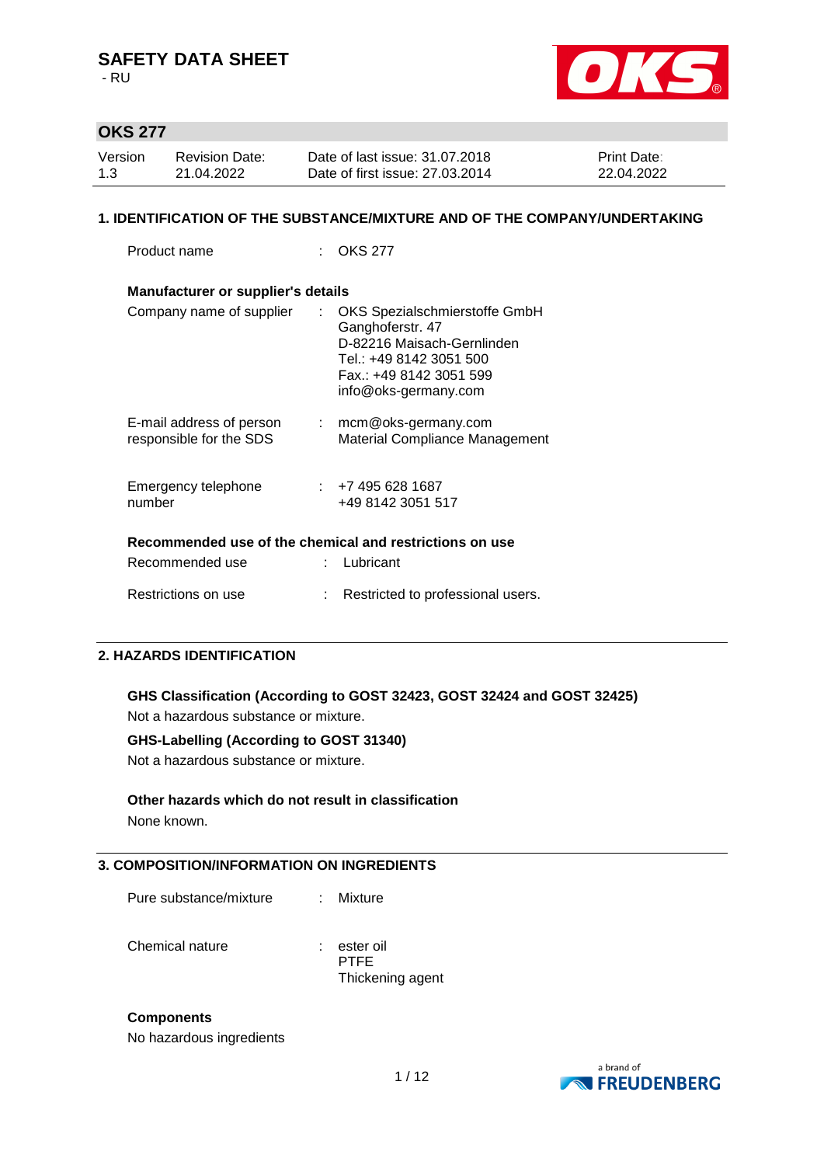- RU



## **OKS 277**

| Version | <b>Revision Date:</b> | Date of last issue: 31.07.2018  | <b>Print Date:</b> |
|---------|-----------------------|---------------------------------|--------------------|
| 1.3     | 21.04.2022            | Date of first issue: 27,03,2014 | 22.04.2022         |

### **1. IDENTIFICATION OF THE SUBSTANCE/MIXTURE AND OF THE COMPANY/UNDERTAKING**

Product name : OKS 277

| Manufacturer or supplier's details                      |     |                                                                                                                                                               |  |  |  |  |  |
|---------------------------------------------------------|-----|---------------------------------------------------------------------------------------------------------------------------------------------------------------|--|--|--|--|--|
| Company name of supplier                                |     | OKS Spezialschmierstoffe GmbH<br>Ganghoferstr. 47<br>D-82216 Maisach-Gernlinden<br>Tel.: +49 8142 3051 500<br>Fax.: +49 8142 3051 599<br>info@oks-germany.com |  |  |  |  |  |
| E-mail address of person<br>responsible for the SDS     | t i | mcm@oks-germany.com<br>Material Compliance Management                                                                                                         |  |  |  |  |  |
| Emergency telephone<br>number                           |     | 1687 + <del>1</del> 7 + 495 + 528 + 587<br>+49 8142 3051 517                                                                                                  |  |  |  |  |  |
| Recommended use of the chemical and restrictions on use |     |                                                                                                                                                               |  |  |  |  |  |
| Recommended use                                         |     | Lubricant                                                                                                                                                     |  |  |  |  |  |
| Restrictions on use                                     |     | Restricted to professional users.                                                                                                                             |  |  |  |  |  |

## **2. HAZARDS IDENTIFICATION**

**GHS Classification (According to GOST 32423, GOST 32424 and GOST 32425)** Not a hazardous substance or mixture.

### **GHS-Labelling (According to GOST 31340)**

Not a hazardous substance or mixture.

### **Other hazards which do not result in classification**

None known.

### **3. COMPOSITION/INFORMATION ON INGREDIENTS**

| Pure substance/mixture |  | Mixture |
|------------------------|--|---------|
|------------------------|--|---------|

Chemical nature : ester oil

PTFE Thickening agent

### **Components**

No hazardous ingredients

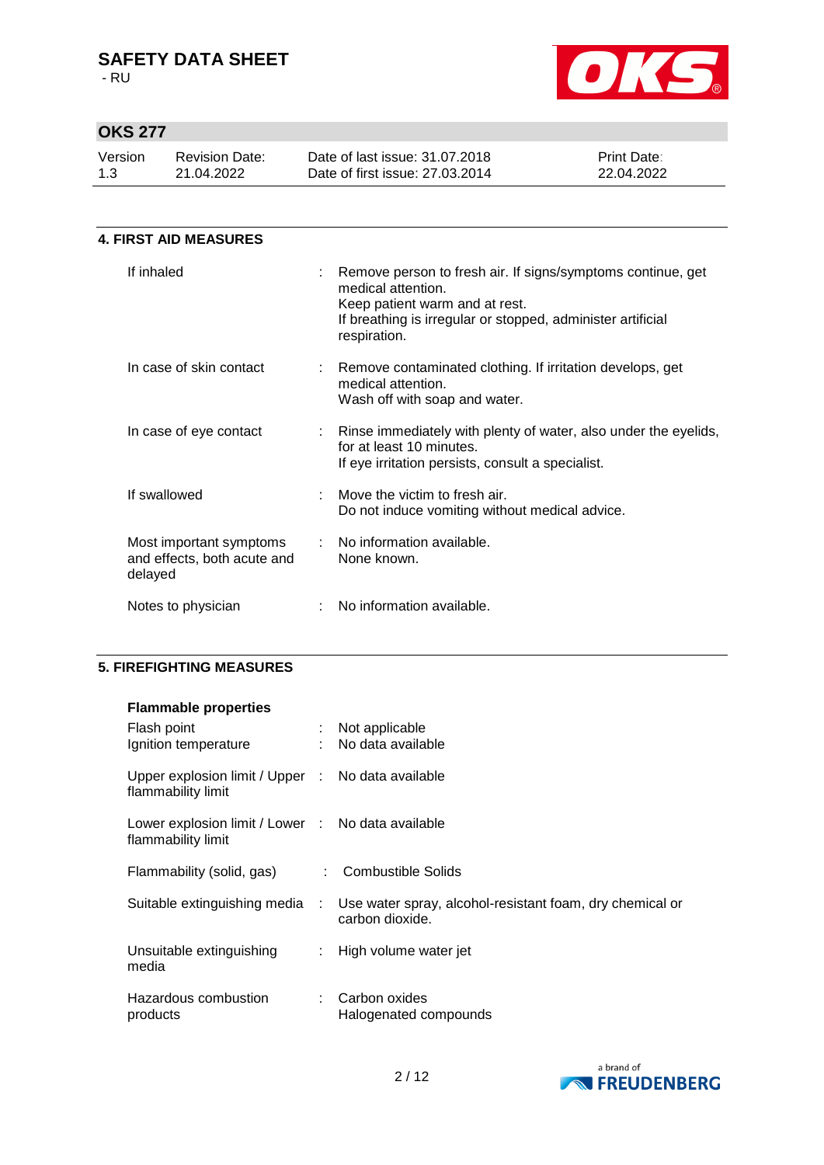- RU



# **OKS 277**

| Version | <b>Revision Date:</b> | Date of last issue: 31,07,2018  | <b>Print Date:</b> |
|---------|-----------------------|---------------------------------|--------------------|
| 1.3     | 21.04.2022            | Date of first issue: 27,03,2014 | 22.04.2022         |
|         |                       |                                 |                    |

| 4. FIRST AID MEASURES                                             |  |                                                                                                                                                                                                    |  |  |  |  |
|-------------------------------------------------------------------|--|----------------------------------------------------------------------------------------------------------------------------------------------------------------------------------------------------|--|--|--|--|
| If inhaled                                                        |  | Remove person to fresh air. If signs/symptoms continue, get<br>medical attention.<br>Keep patient warm and at rest.<br>If breathing is irregular or stopped, administer artificial<br>respiration. |  |  |  |  |
| In case of skin contact                                           |  | : Remove contaminated clothing. If irritation develops, get<br>medical attention.<br>Wash off with soap and water.                                                                                 |  |  |  |  |
| In case of eye contact                                            |  | Rinse immediately with plenty of water, also under the eyelids,<br>for at least 10 minutes.<br>If eye irritation persists, consult a specialist.                                                   |  |  |  |  |
| If swallowed                                                      |  | Move the victim to fresh air.<br>Do not induce vomiting without medical advice.                                                                                                                    |  |  |  |  |
| Most important symptoms<br>and effects, both acute and<br>delayed |  | : No information available.<br>None known.                                                                                                                                                         |  |  |  |  |
| Notes to physician                                                |  | No information available.                                                                                                                                                                          |  |  |  |  |

## **5. FIREFIGHTING MEASURES**

### **Flammable properties**

| Flash point<br>Ignition temperature                                     |               | Not applicable<br>: No data available                                       |
|-------------------------------------------------------------------------|---------------|-----------------------------------------------------------------------------|
| Upper explosion limit / Upper : No data available<br>flammability limit |               |                                                                             |
| Lower explosion limit / Lower : No data available<br>flammability limit |               |                                                                             |
| Flammability (solid, gas)                                               | t.            | <b>Combustible Solids</b>                                                   |
| Suitable extinguishing media                                            | $\mathcal{L}$ | Use water spray, alcohol-resistant foam, dry chemical or<br>carbon dioxide. |
| Unsuitable extinguishing<br>media                                       | $\mathcal{L}$ | High volume water jet                                                       |
| Hazardous combustion<br>products                                        | ÷.            | Carbon oxides<br>Halogenated compounds                                      |

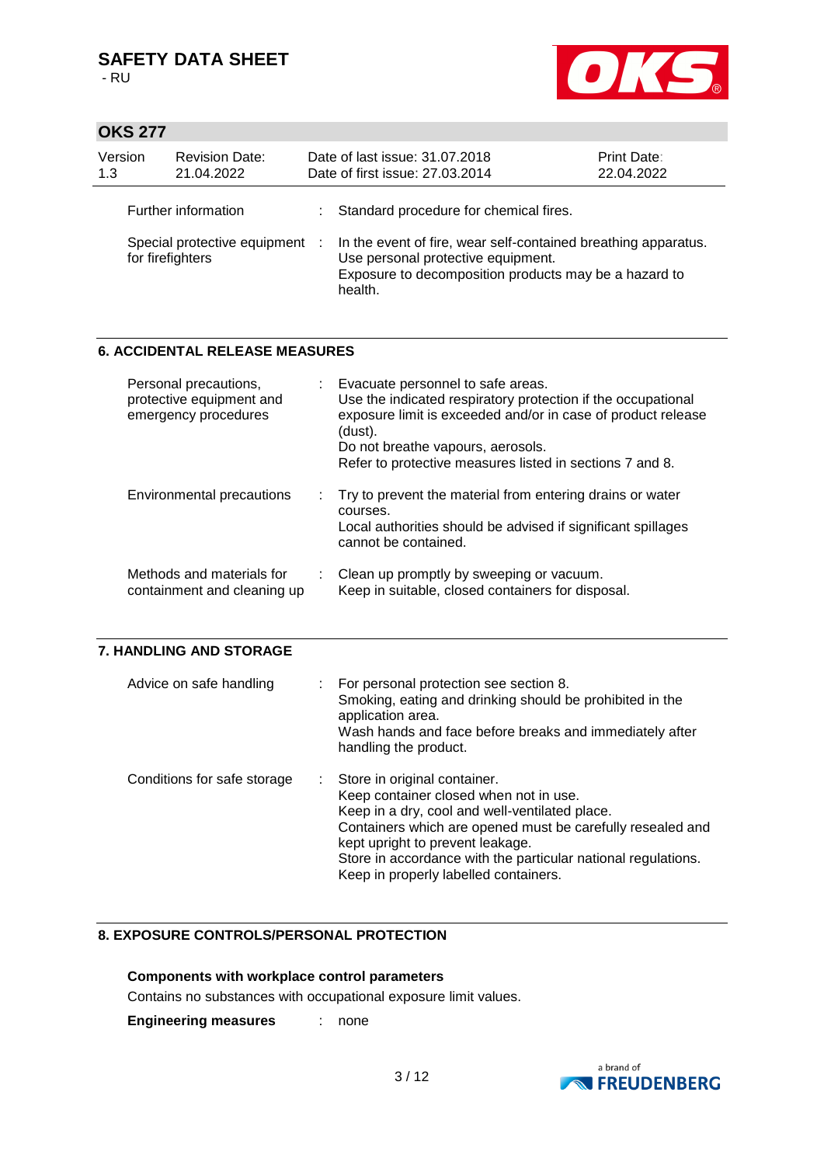

## **OKS 277**

| Version<br>1.3 | <b>Revision Date:</b><br>21.04.2022                | Date of last issue: 31.07.2018<br>Date of first issue: 27.03.2014                                                                                                        | Print Date:<br>22.04.2022 |
|----------------|----------------------------------------------------|--------------------------------------------------------------------------------------------------------------------------------------------------------------------------|---------------------------|
|                | Further information                                | : Standard procedure for chemical fires.                                                                                                                                 |                           |
|                | Special protective equipment :<br>for firefighters | In the event of fire, wear self-contained breathing apparatus.<br>Use personal protective equipment.<br>Exposure to decomposition products may be a hazard to<br>health. |                           |

### **6. ACCIDENTAL RELEASE MEASURES**

| Personal precautions,<br>protective equipment and<br>emergency procedures | : Evacuate personnel to safe areas.<br>Use the indicated respiratory protection if the occupational<br>exposure limit is exceeded and/or in case of product release<br>(dust).<br>Do not breathe vapours, aerosols.<br>Refer to protective measures listed in sections 7 and 8. |
|---------------------------------------------------------------------------|---------------------------------------------------------------------------------------------------------------------------------------------------------------------------------------------------------------------------------------------------------------------------------|
| Environmental precautions                                                 | : Try to prevent the material from entering drains or water<br>courses.<br>Local authorities should be advised if significant spillages<br>cannot be contained.                                                                                                                 |
| Methods and materials for<br>containment and cleaning up                  | : Clean up promptly by sweeping or vacuum.<br>Keep in suitable, closed containers for disposal.                                                                                                                                                                                 |

### **7. HANDLING AND STORAGE**

| Advice on safe handling     | : For personal protection see section 8.<br>Smoking, eating and drinking should be prohibited in the<br>application area.<br>Wash hands and face before breaks and immediately after<br>handling the product.                                                                                                                          |
|-----------------------------|----------------------------------------------------------------------------------------------------------------------------------------------------------------------------------------------------------------------------------------------------------------------------------------------------------------------------------------|
| Conditions for safe storage | : Store in original container.<br>Keep container closed when not in use.<br>Keep in a dry, cool and well-ventilated place.<br>Containers which are opened must be carefully resealed and<br>kept upright to prevent leakage.<br>Store in accordance with the particular national regulations.<br>Keep in properly labelled containers. |

## **8. EXPOSURE CONTROLS/PERSONAL PROTECTION**

## **Components with workplace control parameters**

Contains no substances with occupational exposure limit values.

**Engineering measures** : none

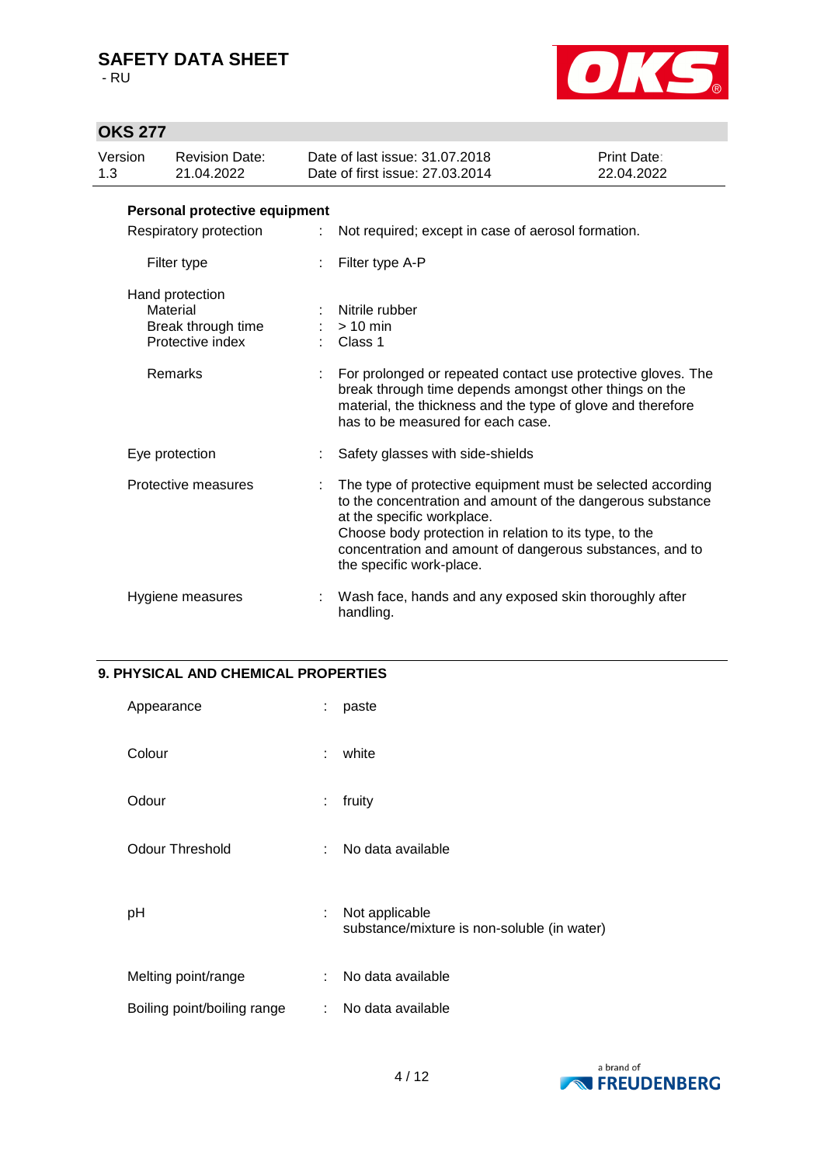- RU



# **OKS 277**

| Version<br>1.3 | <b>Revision Date:</b><br>21.04.2022                                   |    | Date of last issue: 31.07.2018<br>Date of first issue: 27,03,2014                                                                                                                                                                                                                                         | Print Date:<br>22.04.2022 |
|----------------|-----------------------------------------------------------------------|----|-----------------------------------------------------------------------------------------------------------------------------------------------------------------------------------------------------------------------------------------------------------------------------------------------------------|---------------------------|
|                | Personal protective equipment                                         |    |                                                                                                                                                                                                                                                                                                           |                           |
|                | Respiratory protection                                                | ÷. | Not required; except in case of aerosol formation.                                                                                                                                                                                                                                                        |                           |
|                | Filter type                                                           |    | Filter type A-P                                                                                                                                                                                                                                                                                           |                           |
|                | Hand protection<br>Material<br>Break through time<br>Protective index |    | Nitrile rubber<br>$> 10$ min<br>Class 1                                                                                                                                                                                                                                                                   |                           |
|                | Remarks                                                               |    | For prolonged or repeated contact use protective gloves. The<br>break through time depends amongst other things on the<br>material, the thickness and the type of glove and therefore<br>has to be measured for each case.                                                                                |                           |
|                | Eye protection                                                        |    | Safety glasses with side-shields                                                                                                                                                                                                                                                                          |                           |
|                | Protective measures                                                   |    | The type of protective equipment must be selected according<br>to the concentration and amount of the dangerous substance<br>at the specific workplace.<br>Choose body protection in relation to its type, to the<br>concentration and amount of dangerous substances, and to<br>the specific work-place. |                           |
|                | Hygiene measures                                                      |    | Wash face, hands and any exposed skin thoroughly after<br>handling.                                                                                                                                                                                                                                       |                           |

### **9. PHYSICAL AND CHEMICAL PROPERTIES**

| Appearance                  | ÷  | paste                                                         |
|-----------------------------|----|---------------------------------------------------------------|
| Colour                      | ÷  | white                                                         |
| Odour                       | ÷  | fruity                                                        |
| Odour Threshold             | ÷  | No data available                                             |
| рH                          | ÷  | Not applicable<br>substance/mixture is non-soluble (in water) |
| Melting point/range         | ÷. | No data available                                             |
| Boiling point/boiling range | ÷. | No data available                                             |

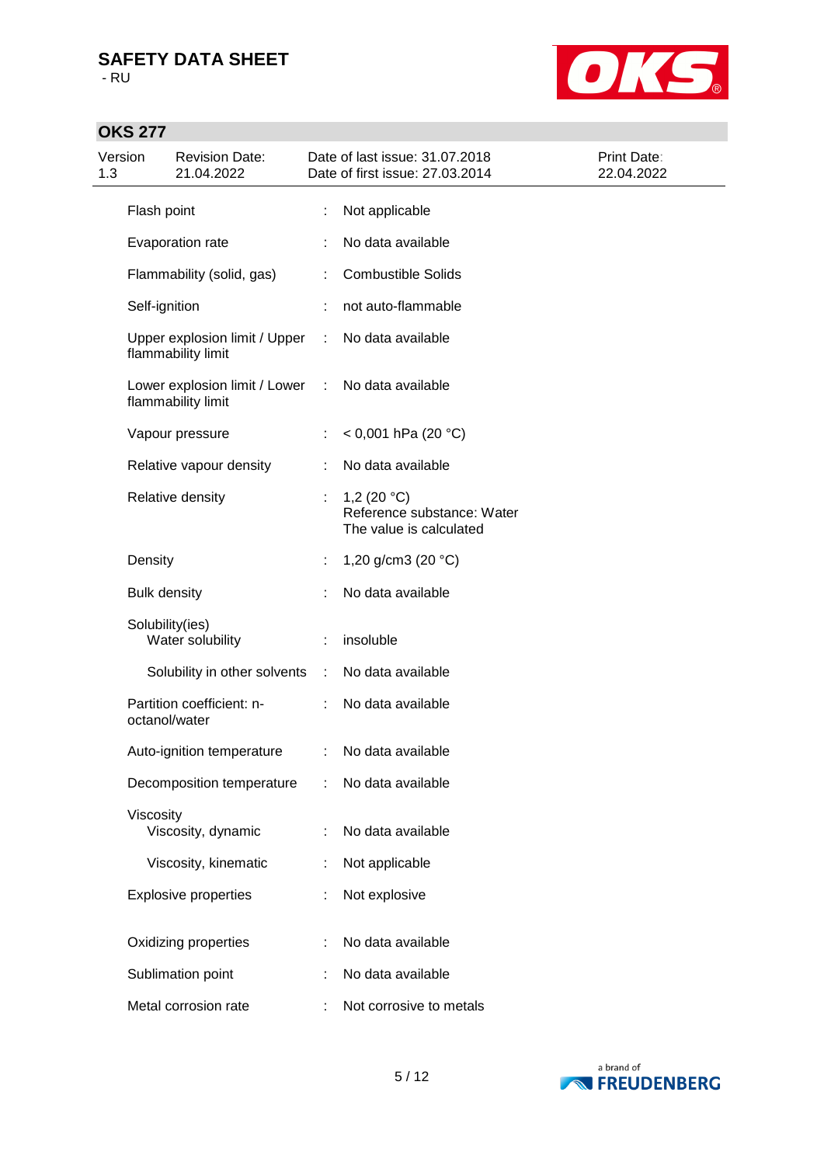

# **OKS 277**

| Version<br>1.3 |                     | <b>Revision Date:</b><br>21.04.2022                 |   | Date of last issue: 31.07.2018<br>Date of first issue: 27.03.2014      | Print Date:<br>22.04.2022 |
|----------------|---------------------|-----------------------------------------------------|---|------------------------------------------------------------------------|---------------------------|
|                | Flash point         |                                                     |   | Not applicable                                                         |                           |
|                |                     | Evaporation rate                                    |   | No data available                                                      |                           |
|                |                     | Flammability (solid, gas)                           | ÷ | <b>Combustible Solids</b>                                              |                           |
|                | Self-ignition       |                                                     |   | not auto-flammable                                                     |                           |
|                |                     | Upper explosion limit / Upper<br>flammability limit |   | No data available                                                      |                           |
|                |                     | Lower explosion limit / Lower<br>flammability limit |   | No data available                                                      |                           |
|                |                     | Vapour pressure                                     |   | < 0,001 hPa (20 °C)                                                    |                           |
|                |                     | Relative vapour density                             | ÷ | No data available                                                      |                           |
|                |                     | Relative density                                    |   | 1,2 $(20 °C)$<br>Reference substance: Water<br>The value is calculated |                           |
|                | Density             |                                                     |   | 1,20 g/cm3 (20 $°C$ )                                                  |                           |
|                | <b>Bulk density</b> |                                                     |   | No data available                                                      |                           |
|                | Solubility(ies)     | Water solubility                                    |   | insoluble                                                              |                           |
|                |                     | Solubility in other solvents                        | ÷ | No data available                                                      |                           |
|                | octanol/water       | Partition coefficient: n-                           |   | No data available                                                      |                           |
|                |                     | Auto-ignition temperature                           | ÷ | No data available                                                      |                           |
|                |                     | Decomposition temperature                           |   | No data available                                                      |                           |
|                | Viscosity           | Viscosity, dynamic                                  | ÷ | No data available                                                      |                           |
|                |                     | Viscosity, kinematic                                |   | Not applicable                                                         |                           |
|                |                     | <b>Explosive properties</b>                         |   | Not explosive                                                          |                           |
|                |                     | Oxidizing properties                                |   | No data available                                                      |                           |
|                |                     | Sublimation point                                   |   | No data available                                                      |                           |
|                |                     | Metal corrosion rate                                |   | Not corrosive to metals                                                |                           |

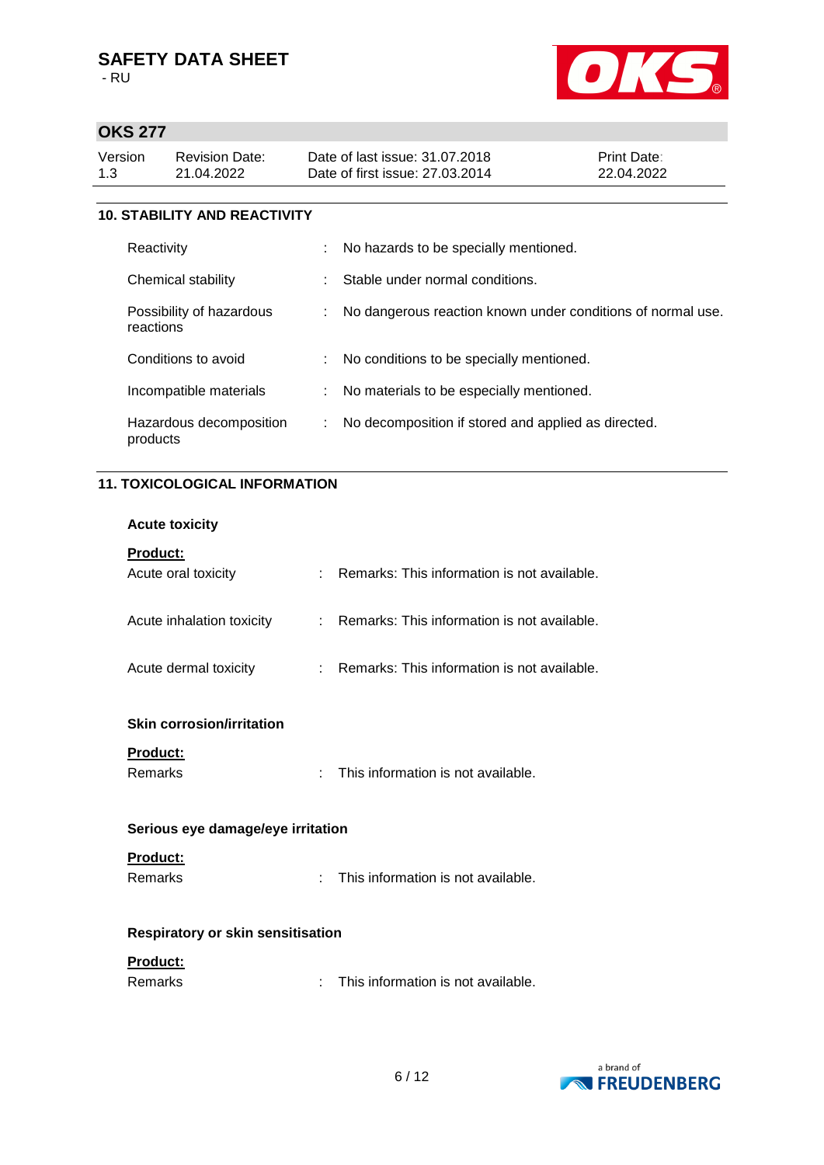

## **OKS 277**

| Date of first issue: 27,03,2014<br>22.04.2022<br>1.3<br>21.04.2022 | Version | Revision Date: | Date of last issue: 31.07.2018 | <b>Print Date:</b> |
|--------------------------------------------------------------------|---------|----------------|--------------------------------|--------------------|
|--------------------------------------------------------------------|---------|----------------|--------------------------------|--------------------|

### **10. STABILITY AND REACTIVITY**

| Reactivity                            | ÷. | No hazards to be specially mentioned.                       |
|---------------------------------------|----|-------------------------------------------------------------|
| Chemical stability                    | ÷  | Stable under normal conditions.                             |
| Possibility of hazardous<br>reactions | ÷. | No dangerous reaction known under conditions of normal use. |
| Conditions to avoid                   |    | : No conditions to be specially mentioned.                  |
| Incompatible materials                |    | No materials to be especially mentioned.                    |
| Hazardous decomposition<br>products   | ÷  | No decomposition if stored and applied as directed.         |

### **11. TOXICOLOGICAL INFORMATION**

|  | <b>Acute toxicity</b> |
|--|-----------------------|
|--|-----------------------|

| <b>Product:</b><br>Acute oral toxicity | Remarks: This information is not available.   |
|----------------------------------------|-----------------------------------------------|
| Acute inhalation toxicity              | : Remarks: This information is not available. |

Acute dermal toxicity : Remarks: This information is not available.

### **Skin corrosion/irritation**

**Product:**

Remarks : This information is not available.

#### **Serious eye damage/eye irritation**

### **Product:**

Remarks : This information is not available.

### **Respiratory or skin sensitisation**

### **Product:**

| Remarks |  | This information is not available. |
|---------|--|------------------------------------|
|---------|--|------------------------------------|

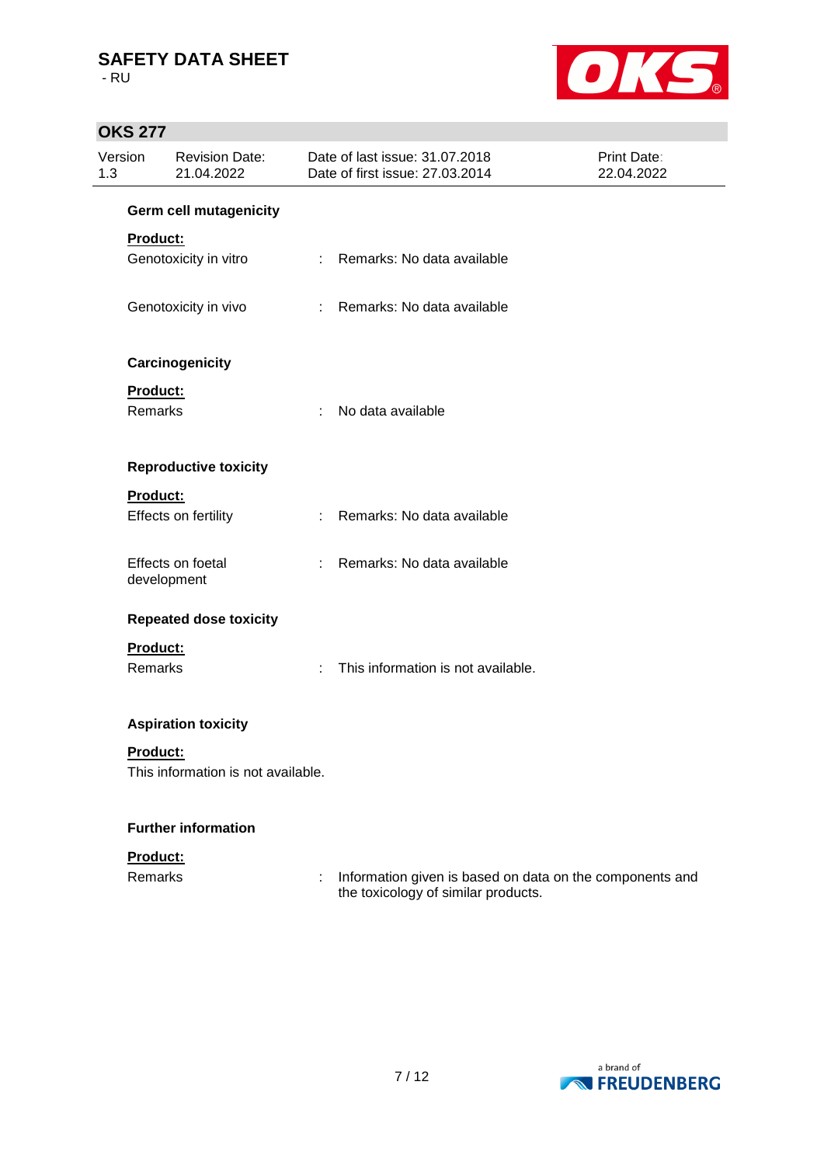- RU



# **OKS 277**

| Version<br>1.3             | <b>Revision Date:</b><br>21.04.2022 |                             | Date of last issue: 31.07.2018<br>Date of first issue: 27.03.2014 | Print Date:<br>22.04.2022 |
|----------------------------|-------------------------------------|-----------------------------|-------------------------------------------------------------------|---------------------------|
|                            | <b>Germ cell mutagenicity</b>       |                             |                                                                   |                           |
| Product:                   | Genotoxicity in vitro               | $\mathcal{L}^{\mathcal{L}}$ | Remarks: No data available                                        |                           |
|                            | Genotoxicity in vivo                | $\mathbb{R}^n$              | Remarks: No data available                                        |                           |
|                            | Carcinogenicity                     |                             |                                                                   |                           |
| Product:<br><b>Remarks</b> |                                     | ÷                           | No data available                                                 |                           |
|                            | <b>Reproductive toxicity</b>        |                             |                                                                   |                           |
| Product:                   | Effects on fertility                | ÷                           | Remarks: No data available                                        |                           |
|                            | Effects on foetal<br>development    | ÷                           | Remarks: No data available                                        |                           |
|                            | <b>Repeated dose toxicity</b>       |                             |                                                                   |                           |
| Product:<br>Remarks        |                                     | ÷                           | This information is not available.                                |                           |
|                            | <b>Aspiration toxicity</b>          |                             |                                                                   |                           |
| Product:                   | This information is not available.  |                             |                                                                   |                           |
|                            | <b>Further information</b>          |                             |                                                                   |                           |
| Deadlings.                 |                                     |                             |                                                                   |                           |



Remarks **interpart in the Component Component is and** information given is based on data on the components and the toxicology of similar products.

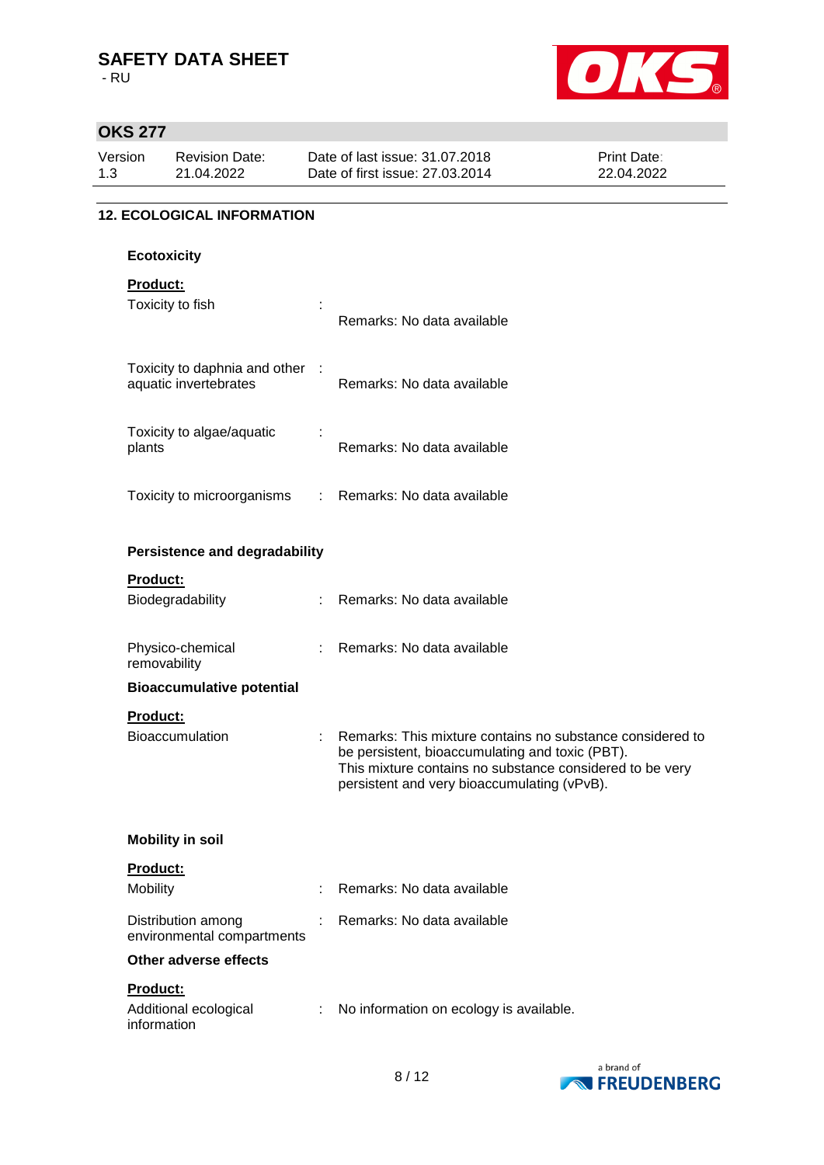- RU



## **OKS 277**

| Version<br>1.3 |                         | <b>Revision Date:</b><br>21.04.2022                      |                            | Date of last issue: 31.07.2018<br>Date of first issue: 27.03.2014                                                                                                                                                       | Print Date:<br>22.04.2022 |
|----------------|-------------------------|----------------------------------------------------------|----------------------------|-------------------------------------------------------------------------------------------------------------------------------------------------------------------------------------------------------------------------|---------------------------|
|                |                         | <b>12. ECOLOGICAL INFORMATION</b>                        |                            |                                                                                                                                                                                                                         |                           |
|                | <b>Ecotoxicity</b>      |                                                          |                            |                                                                                                                                                                                                                         |                           |
|                | Product:                |                                                          |                            |                                                                                                                                                                                                                         |                           |
|                |                         | Toxicity to fish                                         |                            | Remarks: No data available                                                                                                                                                                                              |                           |
|                |                         | Toxicity to daphnia and other :<br>aquatic invertebrates |                            | Remarks: No data available                                                                                                                                                                                              |                           |
|                | plants                  | Toxicity to algae/aquatic                                |                            | Remarks: No data available                                                                                                                                                                                              |                           |
|                |                         | Toxicity to microorganisms                               |                            | : Remarks: No data available                                                                                                                                                                                            |                           |
|                |                         | <b>Persistence and degradability</b>                     |                            |                                                                                                                                                                                                                         |                           |
|                | Product:                |                                                          |                            |                                                                                                                                                                                                                         |                           |
|                |                         | Biodegradability                                         |                            | Remarks: No data available                                                                                                                                                                                              |                           |
|                | removability            | Physico-chemical                                         | $\mathcal{L}^{\text{max}}$ | Remarks: No data available                                                                                                                                                                                              |                           |
|                |                         | <b>Bioaccumulative potential</b>                         |                            |                                                                                                                                                                                                                         |                           |
|                | Product:                |                                                          |                            |                                                                                                                                                                                                                         |                           |
|                |                         | Bioaccumulation                                          |                            | Remarks: This mixture contains no substance considered to<br>be persistent, bioaccumulating and toxic (PBT).<br>This mixture contains no substance considered to be very<br>persistent and very bioaccumulating (vPvB). |                           |
|                |                         | <b>Mobility in soil</b>                                  |                            |                                                                                                                                                                                                                         |                           |
|                | Product:                |                                                          |                            |                                                                                                                                                                                                                         |                           |
|                | Mobility                |                                                          |                            | Remarks: No data available                                                                                                                                                                                              |                           |
|                |                         | Distribution among<br>environmental compartments         |                            | Remarks: No data available                                                                                                                                                                                              |                           |
|                |                         | Other adverse effects                                    |                            |                                                                                                                                                                                                                         |                           |
|                | Product:<br>information | Additional ecological                                    |                            | No information on ecology is available.                                                                                                                                                                                 |                           |

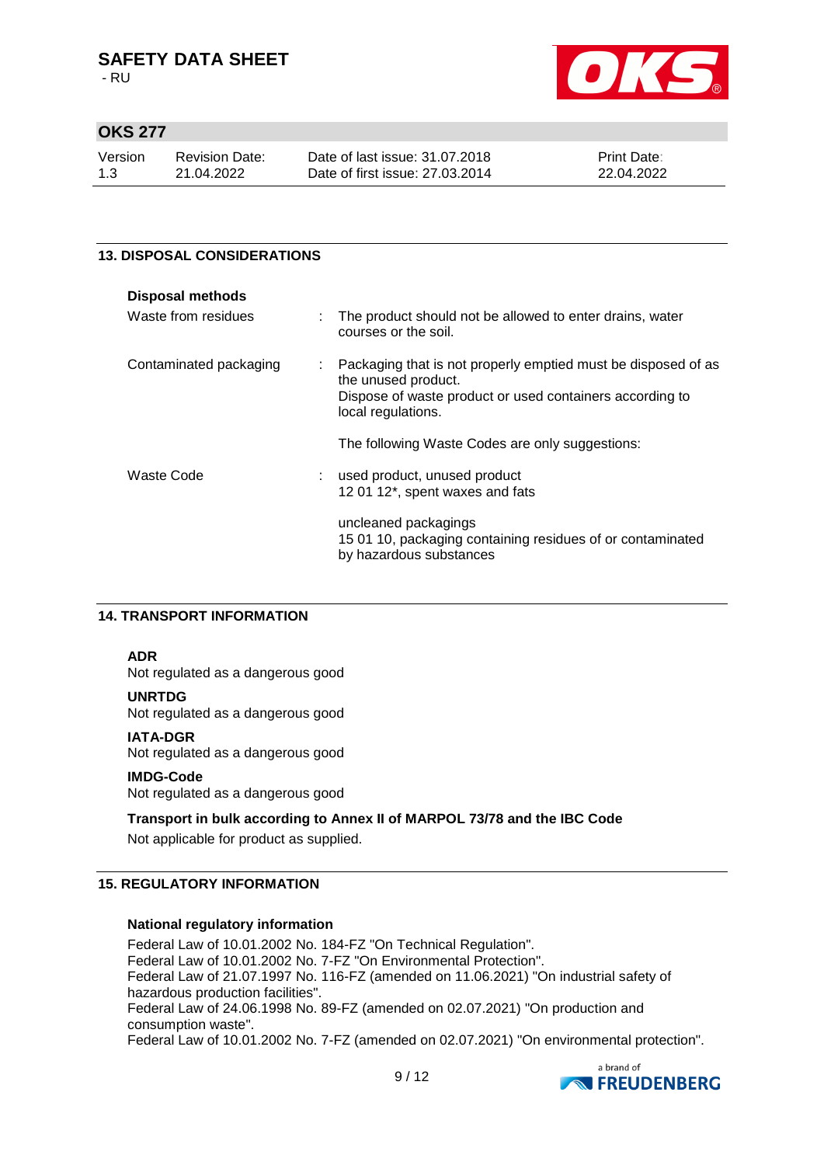- RU



## **OKS 277**

| Version | Revision Date: | Date of last issue: 31.07.2018  | <b>Print Date:</b> |
|---------|----------------|---------------------------------|--------------------|
| 1.3     | 21.04.2022     | Date of first issue: 27,03,2014 | 22.04.2022         |

### **13. DISPOSAL CONSIDERATIONS**

| <b>Disposal methods</b> |    |                                                                                                                                                                        |
|-------------------------|----|------------------------------------------------------------------------------------------------------------------------------------------------------------------------|
| Waste from residues     |    | : The product should not be allowed to enter drains, water<br>courses or the soil.                                                                                     |
| Contaminated packaging  | ÷. | Packaging that is not properly emptied must be disposed of as<br>the unused product.<br>Dispose of waste product or used containers according to<br>local regulations. |
|                         |    | The following Waste Codes are only suggestions:                                                                                                                        |
| Waste Code              |    | : used product, unused product<br>12 01 12*, spent waxes and fats                                                                                                      |
|                         |    | uncleaned packagings<br>15 01 10, packaging containing residues of or contaminated<br>by hazardous substances                                                          |

### **14. TRANSPORT INFORMATION**

### **ADR**

Not regulated as a dangerous good

### **UNRTDG**

Not regulated as a dangerous good

#### **IATA-DGR**

Not regulated as a dangerous good

### **IMDG-Code**

Not regulated as a dangerous good

### **Transport in bulk according to Annex II of MARPOL 73/78 and the IBC Code**

Not applicable for product as supplied.

### **15. REGULATORY INFORMATION**

### **National regulatory information**

Federal Law of 10.01.2002 No. 184-FZ "On Technical Regulation". Federal Law of 10.01.2002 No. 7-FZ "On Environmental Protection". Federal Law of 21.07.1997 No. 116-FZ (amended on 11.06.2021) "On industrial safety of hazardous production facilities". Federal Law of 24.06.1998 No. 89-FZ (amended on 02.07.2021) "On production and consumption waste".

Federal Law of 10.01.2002 No. 7-FZ (amended on 02.07.2021) "On environmental protection".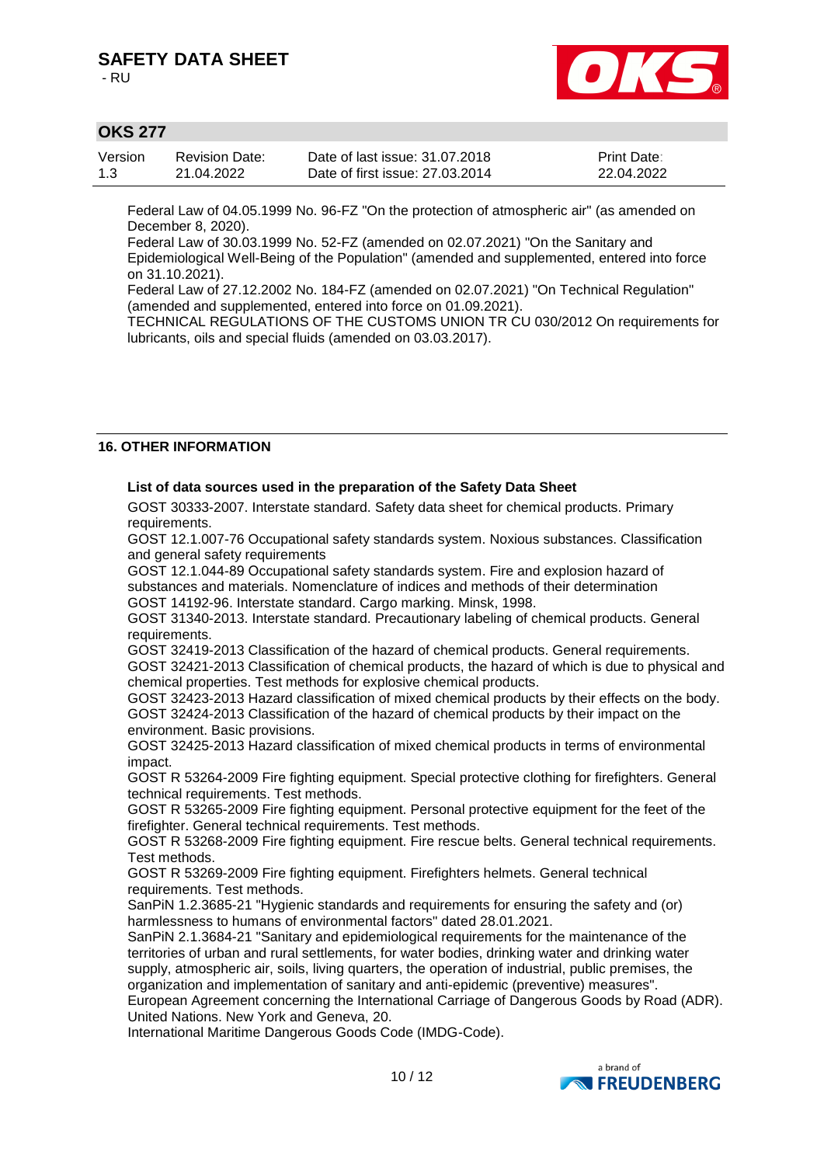- RU



## **OKS 277**

| Version | Revision Date: | Date of last issue: 31,07,2018  | <b>Print Date:</b> |
|---------|----------------|---------------------------------|--------------------|
| 1.3     | 21.04.2022     | Date of first issue: 27,03,2014 | 22.04.2022         |

Federal Law of 04.05.1999 No. 96-FZ "On the protection of atmospheric air" (as amended on December 8, 2020).

Federal Law of 30.03.1999 No. 52-FZ (amended on 02.07.2021) "On the Sanitary and Epidemiological Well-Being of the Population" (amended and supplemented, entered into force on 31.10.2021).

Federal Law of 27.12.2002 No. 184-FZ (amended on 02.07.2021) "On Technical Regulation" (amended and supplemented, entered into force on 01.09.2021).

TECHNICAL REGULATIONS OF THE CUSTOMS UNION TR CU 030/2012 On requirements for lubricants, oils and special fluids (amended on 03.03.2017).

### **16. OTHER INFORMATION**

### **List of data sources used in the preparation of the Safety Data Sheet**

GOST 30333-2007. Interstate standard. Safety data sheet for chemical products. Primary requirements.

GOST 12.1.007-76 Occupational safety standards system. Noxious substances. Classification and general safety requirements

GOST 12.1.044-89 Оccupational safety standards system. Fire and explosion hazard of substances and materials. Nomenclature of indices and methods of their determination GOST 14192-96. Interstate standard. Cargo marking. Minsk, 1998.

GOST 31340-2013. Interstate standard. Precautionary labeling of chemical products. General requirements.

GOST 32419-2013 Classification of the hazard of chemical products. General requirements. GOST 32421-2013 Classification of chemical products, the hazard of which is due to physical and chemical properties. Test methods for explosive chemical products.

GOST 32423-2013 Hazard classification of mixed chemical products by their effects on the body. GOST 32424-2013 Classification of the hazard of chemical products by their impact on the environment. Basic provisions.

GOST 32425-2013 Hazard classification of mixed chemical products in terms of environmental impact.

GOST R 53264-2009 Fire fighting equipment. Special protective clothing for firefighters. General technical requirements. Test methods.

GOST R 53265-2009 Fire fighting equipment. Personal protective equipment for the feet of the firefighter. General technical requirements. Test methods.

GOST R 53268-2009 Fire fighting equipment. Fire rescue belts. General technical requirements. Test methods.

GOST R 53269-2009 Fire fighting equipment. Firefighters helmets. General technical requirements. Test methods.

SanPiN 1.2.3685-21 "Hygienic standards and requirements for ensuring the safety and (or) harmlessness to humans of environmental factors" dated 28.01.2021.

SanPiN 2.1.3684-21 "Sanitary and epidemiological requirements for the maintenance of the territories of urban and rural settlements, for water bodies, drinking water and drinking water supply, atmospheric air, soils, living quarters, the operation of industrial, public premises, the organization and implementation of sanitary and anti-epidemic (preventive) measures".

European Agreement concerning the International Carriage of Dangerous Goods by Road (ADR). United Nations. New York and Geneva, 20.

International Maritime Dangerous Goods Code (IMDG-Code).

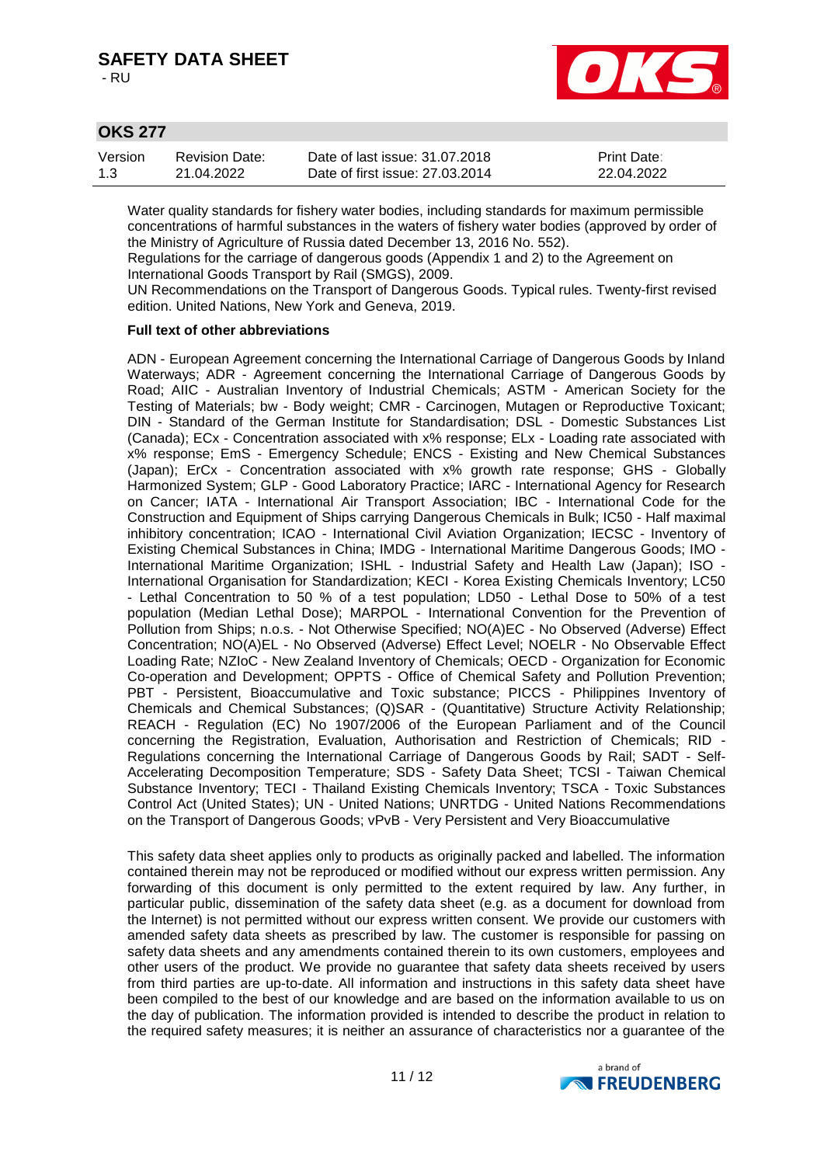- RU



## **OKS 277**

| Version | Revision Date: | Date of last issue: 31.07.2018  | <b>Print Date:</b> |
|---------|----------------|---------------------------------|--------------------|
| 1.3     | 21.04.2022     | Date of first issue: 27,03,2014 | 22.04.2022         |

Water quality standards for fishery water bodies, including standards for maximum permissible concentrations of harmful substances in the waters of fishery water bodies (approved by order of the Ministry of Agriculture of Russia dated December 13, 2016 No. 552).

Regulations for the carriage of dangerous goods (Appendix 1 and 2) to the Agreement on International Goods Transport by Rail (SMGS), 2009.

UN Recommendations on the Transport of Dangerous Goods. Typical rules. Twenty-first revised edition. United Nations, New York and Geneva, 2019.

#### **Full text of other abbreviations**

ADN - European Agreement concerning the International Carriage of Dangerous Goods by Inland Waterways; ADR - Agreement concerning the International Carriage of Dangerous Goods by Road; AIIC - Australian Inventory of Industrial Chemicals; ASTM - American Society for the Testing of Materials; bw - Body weight; CMR - Carcinogen, Mutagen or Reproductive Toxicant; DIN - Standard of the German Institute for Standardisation; DSL - Domestic Substances List (Canada); ECx - Concentration associated with x% response; ELx - Loading rate associated with x% response; EmS - Emergency Schedule; ENCS - Existing and New Chemical Substances (Japan); ErCx - Concentration associated with x% growth rate response; GHS - Globally Harmonized System; GLP - Good Laboratory Practice; IARC - International Agency for Research on Cancer; IATA - International Air Transport Association; IBC - International Code for the Construction and Equipment of Ships carrying Dangerous Chemicals in Bulk; IC50 - Half maximal inhibitory concentration; ICAO - International Civil Aviation Organization; IECSC - Inventory of Existing Chemical Substances in China; IMDG - International Maritime Dangerous Goods; IMO - International Maritime Organization; ISHL - Industrial Safety and Health Law (Japan); ISO - International Organisation for Standardization; KECI - Korea Existing Chemicals Inventory; LC50 - Lethal Concentration to 50 % of a test population; LD50 - Lethal Dose to 50% of a test population (Median Lethal Dose); MARPOL - International Convention for the Prevention of Pollution from Ships; n.o.s. - Not Otherwise Specified; NO(A)EC - No Observed (Adverse) Effect Concentration; NO(A)EL - No Observed (Adverse) Effect Level; NOELR - No Observable Effect Loading Rate; NZIoC - New Zealand Inventory of Chemicals; OECD - Organization for Economic Co-operation and Development; OPPTS - Office of Chemical Safety and Pollution Prevention; PBT - Persistent, Bioaccumulative and Toxic substance; PICCS - Philippines Inventory of Chemicals and Chemical Substances; (Q)SAR - (Quantitative) Structure Activity Relationship; REACH - Regulation (EC) No 1907/2006 of the European Parliament and of the Council concerning the Registration, Evaluation, Authorisation and Restriction of Chemicals; RID - Regulations concerning the International Carriage of Dangerous Goods by Rail; SADT - Self-Accelerating Decomposition Temperature; SDS - Safety Data Sheet; TCSI - Taiwan Chemical Substance Inventory; TECI - Thailand Existing Chemicals Inventory; TSCA - Toxic Substances Control Act (United States); UN - United Nations; UNRTDG - United Nations Recommendations on the Transport of Dangerous Goods; vPvB - Very Persistent and Very Bioaccumulative

This safety data sheet applies only to products as originally packed and labelled. The information contained therein may not be reproduced or modified without our express written permission. Any forwarding of this document is only permitted to the extent required by law. Any further, in particular public, dissemination of the safety data sheet (e.g. as a document for download from the Internet) is not permitted without our express written consent. We provide our customers with amended safety data sheets as prescribed by law. The customer is responsible for passing on safety data sheets and any amendments contained therein to its own customers, employees and other users of the product. We provide no guarantee that safety data sheets received by users from third parties are up-to-date. All information and instructions in this safety data sheet have been compiled to the best of our knowledge and are based on the information available to us on the day of publication. The information provided is intended to describe the product in relation to the required safety measures; it is neither an assurance of characteristics nor a guarantee of the